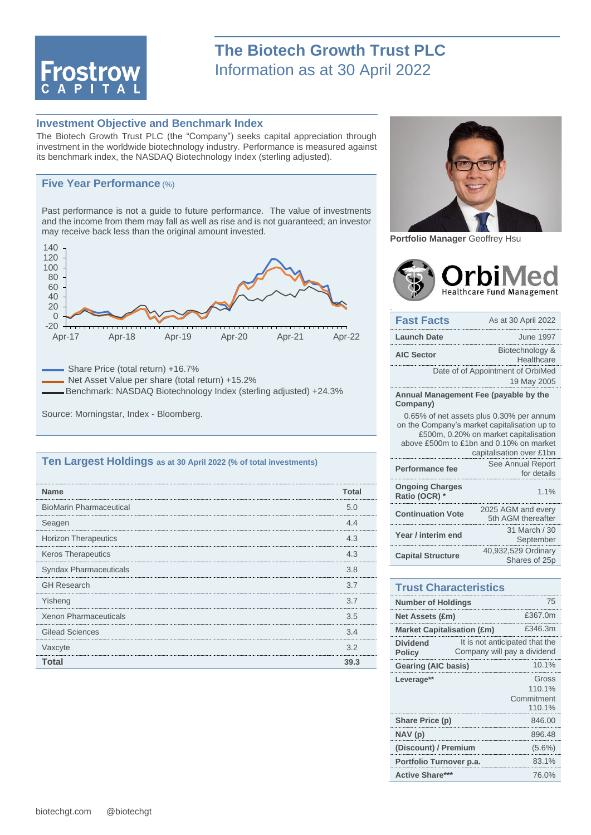

## **Investment Objective and Benchmark Index**

The Biotech Growth Trust PLC (the "Company") seeks capital appreciation through investment in the worldwide biotechnology industry. Performance is measured against its benchmark index, the NASDAQ Biotechnology Index (sterling adjusted).

## **Five Year Performance** (%)

Past performance is not a guide to future performance. The value of investments and the income from them may fall as well as rise and is not guaranteed; an investor may receive back less than the original amount invested.



Share Price (total return) +16.7% Net Asset Value per share (total return) +15.2%

Benchmark: NASDAQ Biotechnology Index (sterling adjusted) +24.3%

Source: Morningstar, Index - Bloomberg.

## **Ten Largest Holdings as at 30 April 2022 (% of total investments)**

| <b>Name</b>                    | Total |
|--------------------------------|-------|
| <b>BioMarin Pharmaceutical</b> | 5.0   |
| Seagen                         | 44    |
| <b>Horizon Therapeutics</b>    | 4.3   |
| Keros Therapeutics             | 4.3   |
| Syndax Pharmaceuticals         | 3.8   |
| <b>GH Research</b>             | 3.7   |
| Yisheng                        | 3.7   |
| <b>Xenon Pharmaceuticals</b>   | 3.5   |
| <b>Gilead Sciences</b>         | 3.4   |
| Vaxcyte                        | 3.2   |
| Total                          | 39.3  |



**Portfolio Manager** Geoffrey Hsu

.



| <b>Fast Facts</b>                                                                                                                                                                                        | As at 30 April 2022                              |  |
|----------------------------------------------------------------------------------------------------------------------------------------------------------------------------------------------------------|--------------------------------------------------|--|
| <b>Launch Date</b>                                                                                                                                                                                       | June 1997                                        |  |
| <b>AIC Sector</b>                                                                                                                                                                                        | Biotechnology &<br>Healthcare                    |  |
|                                                                                                                                                                                                          | Date of of Appointment of OrbiMed<br>19 May 2005 |  |
| Annual Management Fee (payable by the<br>Company)                                                                                                                                                        |                                                  |  |
| 0.65% of net assets plus 0.30% per annum<br>on the Company's market capitalisation up to<br>£500m, 0.20% on market capitalisation<br>above £500m to £1bn and 0.10% on market<br>capitalisation over £1bn |                                                  |  |
| Performance fee                                                                                                                                                                                          | See Annual Report<br>for details                 |  |
| <b>Ongoing Charges</b><br>Ratio (OCR) *                                                                                                                                                                  | 1.1%                                             |  |
| <b>Continuation Vote</b>                                                                                                                                                                                 | 2025 AGM and every<br>5th AGM thereafter         |  |
| Year / interim end                                                                                                                                                                                       | 31 March / 30<br>September                       |  |
| <b>Capital Structure</b>                                                                                                                                                                                 | 40,932,529 Ordinary<br>Shares of 25p             |  |

## **Trust Characteristics**

| 75<br><b>Number of Holdings</b>   |                                                               |                                         |
|-----------------------------------|---------------------------------------------------------------|-----------------------------------------|
| <b>Net Assets (£m)</b>            |                                                               | £367.0m                                 |
| <b>Market Capitalisation (£m)</b> |                                                               | £346.3m                                 |
| <b>Dividend</b><br><b>Policy</b>  | It is not anticipated that the<br>Company will pay a dividend |                                         |
| 10.1%<br>Gearing (AIC basis)      |                                                               |                                         |
| Leverage**                        |                                                               | Gross<br>110.1%<br>Commitment<br>110.1% |
| Share Price (p)                   |                                                               | 846.00                                  |
| NAV (p)                           |                                                               | 896.48                                  |
| (Discount) / Premium              |                                                               | $(5.6\%)$                               |
| Portfolio Turnover p.a.           |                                                               | 83.1%                                   |
| <b>Active Share</b>               |                                                               | 76.0%                                   |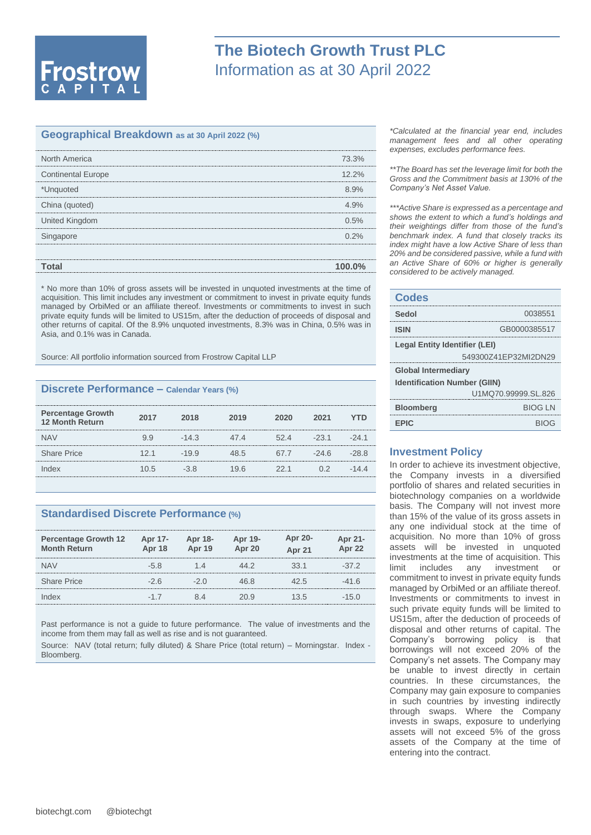

#### **Geographical Breakdown as at 30 April 2022 (%)**

| North America             | 73.3%     |
|---------------------------|-----------|
| <b>Continental Europe</b> | 12.2%     |
| *Unquoted                 | 8.9%      |
| China (quoted)            | 4.9%      |
| United Kingdom            | 0.5%      |
| Singapore                 |           |
|                           |           |
| Total                     | $100.0\%$ |
|                           |           |

\* No more than 10% of gross assets will be invested in unquoted investments at the time of acquisition. This limit includes any investment or commitment to invest in private equity funds managed by OrbiMed or an affiliate thereof. Investments or commitments to invest in such private equity funds will be limited to US15m, after the deduction of proceeds of disposal and other returns of capital. Of the 8.9% unquoted investments, 8.3% was in China, 0.5% was in Asia, and 0.1% was in Canada.

Source: All portfolio information sourced from Frostrow Capital LLP

# **Discrete Performance – Calendar Years (%)**

| <b>Percentage Growth</b><br><b>12 Month Return</b> | 2017 | 2018    | 2019 | 2020 | 2021   |        |
|----------------------------------------------------|------|---------|------|------|--------|--------|
| <b>NAV</b>                                         | 99   | $-14.3$ | 47.4 | 524  | $-231$ | $-241$ |
| <b>Share Price</b>                                 | 12.1 | $-19.9$ | くら   | 67.7 | $-246$ |        |
| dex                                                | 10.5 |         | 19 6 | 22.1 |        |        |
|                                                    |      |         |      |      |        |        |

## **Standardised Discrete Performance (%)**

| <b>Percentage Growth 12</b><br><b>Month Return</b> | Apr 17-<br><b>Apr 18</b> | Apr 18-<br><b>Apr 19</b> | Apr 19-<br>Apr 20 | Apr 20-<br><b>Apr 21</b> | Apr 21-<br>Apr 22 |
|----------------------------------------------------|--------------------------|--------------------------|-------------------|--------------------------|-------------------|
| <b>NAV</b>                                         | $-5.8$                   | 1 4                      | 44 Z              | 33 1                     | $-37.2$           |
| <b>Share Price</b>                                 | $-26$                    | $-20$                    | 46 R              | 42 S                     | $-41.6$           |
| Index                                              |                          |                          | 20.9              | 13.5                     | $-1.5()$          |

Past performance is not a guide to future performance. The value of investments and the income from them may fall as well as rise and is not guaranteed.

Source: NAV (total return; fully diluted) & Share Price (total return) – Morningstar. Index - Bloomberg.

*\*Calculated at the financial year end, includes management fees and all other operating expenses, excludes performance fees.*

*\*\*The Board has set the leverage limit for both the Gross and the Commitment basis at 130% of the Company's Net Asset Value.*

*\*\*\*Active Share is expressed as a percentage and shows the extent to which a fund's holdings and their weightings differ from those of the fund's benchmark index. A fund that closely tracks its index might have a low Active Share of less than 20% and be considered passive, while a fund with an Active Share of 60% or higher is generally considered to be actively managed.*

#### **Codes**

| Sedol                                | 0038551              |  |
|--------------------------------------|----------------------|--|
| <b>ISIN</b>                          | GB0000385517         |  |
| <b>Legal Entity Identifier (LEI)</b> |                      |  |
|                                      | 549300Z41EP32MI2DN29 |  |
| <b>Global Intermediary</b>           |                      |  |
| <b>Identification Number (GIIN)</b>  |                      |  |
|                                      | U1MQ70.99999.SL.826  |  |
| <b>Bloomberg</b>                     | <b>BIOG IN</b>       |  |
| <b>FPIC</b>                          |                      |  |

## **Investment Policy**

In order to achieve its investment objective, the Company invests in a diversified portfolio of shares and related securities in biotechnology companies on a worldwide basis. The Company will not invest more than 15% of the value of its gross assets in any one individual stock at the time of acquisition. No more than 10% of gross assets will be invested in unquoted investments at the time of acquisition. This limit includes any investment or commitment to invest in private equity funds managed by OrbiMed or an affiliate thereof. Investments or commitments to invest in such private equity funds will be limited to US15m, after the deduction of proceeds of disposal and other returns of capital. The Company's borrowing policy is that borrowings will not exceed 20% of the Company's net assets. The Company may be unable to invest directly in certain countries. In these circumstances, the Company may gain exposure to companies in such countries by investing indirectly through swaps. Where the Company invests in swaps, exposure to underlying assets will not exceed 5% of the gross assets of the Company at the time of entering into the contract.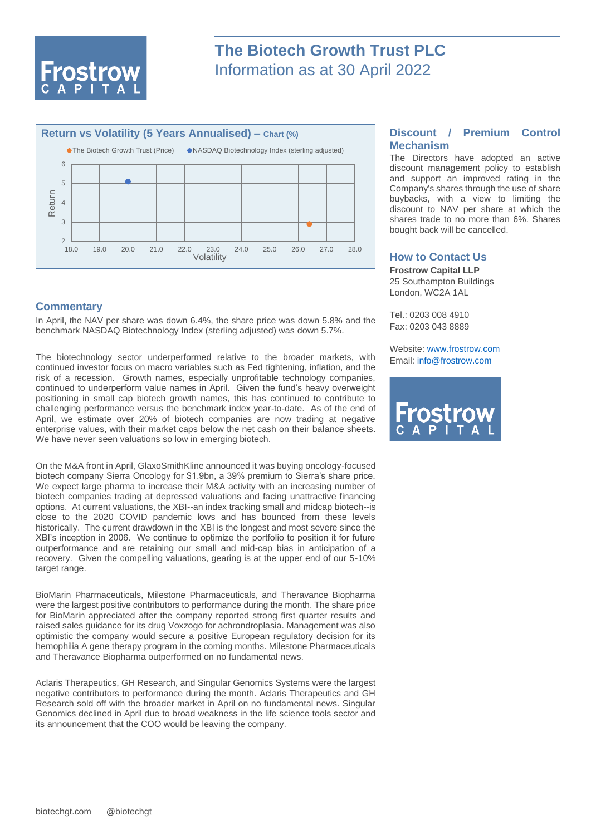



# **Commentary**

In April, the NAV per share was down 6.4%, the share price was down 5.8% and the benchmark NASDAQ Biotechnology Index (sterling adjusted) was down 5.7%.

The biotechnology sector underperformed relative to the broader markets, with continued investor focus on macro variables such as Fed tightening, inflation, and the risk of a recession. Growth names, especially unprofitable technology companies, continued to underperform value names in April. Given the fund's heavy overweight positioning in small cap biotech growth names, this has continued to contribute to challenging performance versus the benchmark index year-to-date. As of the end of April, we estimate over 20% of biotech companies are now trading at negative enterprise values, with their market caps below the net cash on their balance sheets. We have never seen valuations so low in emerging biotech.

On the M&A front in April, GlaxoSmithKline announced it was buying oncology-focused biotech company Sierra Oncology for \$1.9bn, a 39% premium to Sierra's share price. We expect large pharma to increase their M&A activity with an increasing number of biotech companies trading at depressed valuations and facing unattractive financing options. At current valuations, the XBI--an index tracking small and midcap biotech--is close to the 2020 COVID pandemic lows and has bounced from these levels historically. The current drawdown in the XBI is the longest and most severe since the XBI's inception in 2006. We continue to optimize the portfolio to position it for future outperformance and are retaining our small and mid-cap bias in anticipation of a recovery. Given the compelling valuations, gearing is at the upper end of our 5-10% target range.

BioMarin Pharmaceuticals, Milestone Pharmaceuticals, and Theravance Biopharma were the largest positive contributors to performance during the month. The share price for BioMarin appreciated after the company reported strong first quarter results and raised sales guidance for its drug Voxzogo for achrondroplasia. Management was also optimistic the company would secure a positive European regulatory decision for its hemophilia A gene therapy program in the coming months. Milestone Pharmaceuticals and Theravance Biopharma outperformed on no fundamental news.

Aclaris Therapeutics, GH Research, and Singular Genomics Systems were the largest negative contributors to performance during the month. Aclaris Therapeutics and GH Research sold off with the broader market in April on no fundamental news. Singular Genomics declined in April due to broad weakness in the life science tools sector and its announcement that the COO would be leaving the company.

# **Discount / Premium Control Mechanism**

The Directors have adopted an active discount management policy to establish and support an improved rating in the Company's shares through the use of share buybacks, with a view to limiting the discount to NAV per share at which the shares trade to no more than 6%. Shares bought back will be cancelled.

### **How to Contact Us**

**Frostrow Capital LLP** 25 Southampton Buildings London, WC2A 1AL

Tel.: 0203 008 4910 Fax: 0203 043 8889

Website: [www.frostrow.com](http://www.frostrow.com/) Email: [info@frostrow.com](mailto:info@frostrow.com)